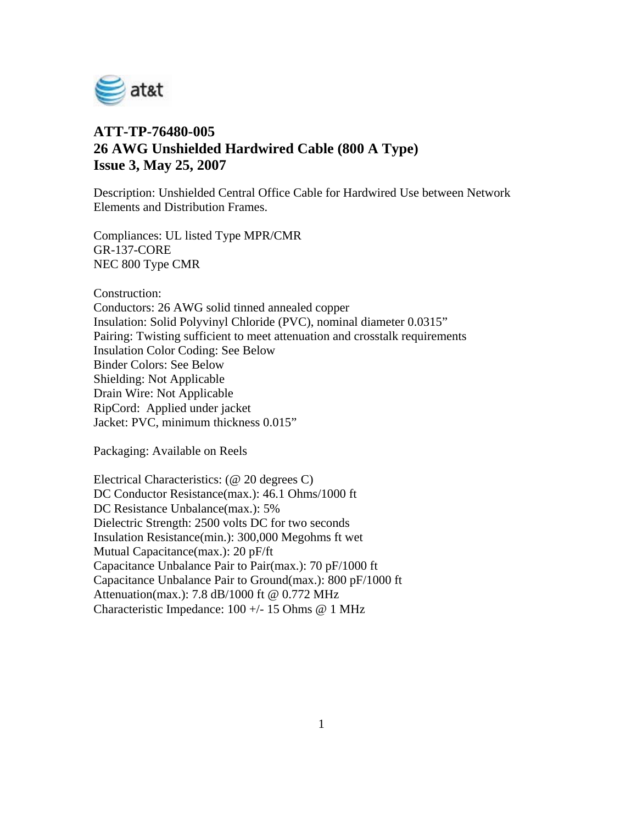

## **ATT-TP-76480-005 26 AWG Unshielded Hardwired Cable (800 A Type) Issue 3, May 25, 2007**

Description: Unshielded Central Office Cable for Hardwired Use between Network Elements and Distribution Frames.

Compliances: UL listed Type MPR/CMR GR-137-CORE NEC 800 Type CMR

Construction:

Conductors: 26 AWG solid tinned annealed copper Insulation: Solid Polyvinyl Chloride (PVC), nominal diameter 0.0315" Pairing: Twisting sufficient to meet attenuation and crosstalk requirements Insulation Color Coding: See Below Binder Colors: See Below Shielding: Not Applicable Drain Wire: Not Applicable RipCord: Applied under jacket Jacket: PVC, minimum thickness 0.015"

Packaging: Available on Reels

Electrical Characteristics: (@ 20 degrees C) DC Conductor Resistance(max.): 46.1 Ohms/1000 ft DC Resistance Unbalance(max.): 5% Dielectric Strength: 2500 volts DC for two seconds Insulation Resistance(min.): 300,000 Megohms ft wet Mutual Capacitance(max.): 20 pF/ft Capacitance Unbalance Pair to Pair(max.): 70 pF/1000 ft Capacitance Unbalance Pair to Ground(max.): 800 pF/1000 ft Attenuation(max.): 7.8 dB/1000 ft @ 0.772 MHz Characteristic Impedance: 100 +/- 15 Ohms @ 1 MHz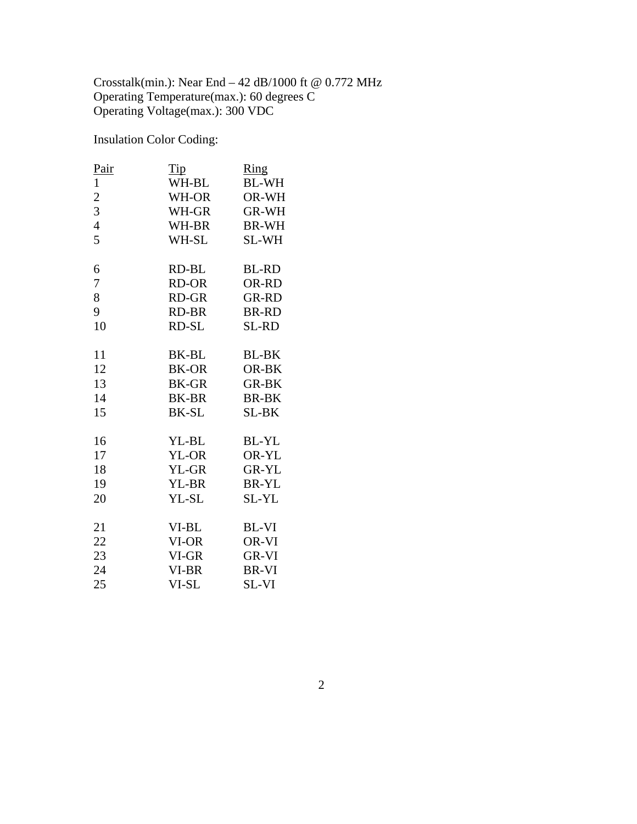Crosstalk(min.): Near End – 42 dB/1000 ft @ 0.772 MHz Operating Temperature(max.): 60 degrees C Operating Voltage(max.): 300 VDC

Insulation Color Coding:

| Pair           | Tip   | $\overline{\mathrm{Ring}}$ |
|----------------|-------|----------------------------|
| $\mathbf{1}$   | WH-BL | <b>BL-WH</b>               |
| $\overline{c}$ | WH-OR | OR-WH                      |
| 3              | WH-GR | GR-WH                      |
| $\overline{4}$ | WH-BR | <b>BR-WH</b>               |
| 5              | WH-SL | SL-WH                      |
| 6              | RD-BL | <b>BL-RD</b>               |
| 7              | RD-OR | OR-RD                      |
| 8              | RD-GR | <b>GR-RD</b>               |
| 9              | RD-BR | <b>BR-RD</b>               |
| 10             | RD-SL | SL-RD                      |
| 11             | BK-BL | <b>BL-BK</b>               |
| 12             | BK-OR | OR-BK                      |
| 13             | BK-GR | <b>GR-BK</b>               |
| 14             | BK-BR | <b>BR-BK</b>               |
| 15             | BK-SL | SL-BK                      |
| 16             | YL-BL | <b>BL-YL</b>               |
| 17             | YL-OR | OR-YL                      |
| 18             | YL-GR | GR-YL                      |
| 19             | YL-BR | <b>BR-YL</b>               |
| 20             | YL-SL | SL-YL                      |
| 21             | VI-BL | BL-VI                      |
| 22             | VI-OR | OR-VI                      |
| 23             | VI-GR | <b>GR-VI</b>               |
| 24             | VI-BR | BR-VI                      |
| 25             | VI-SL | SL-VI                      |